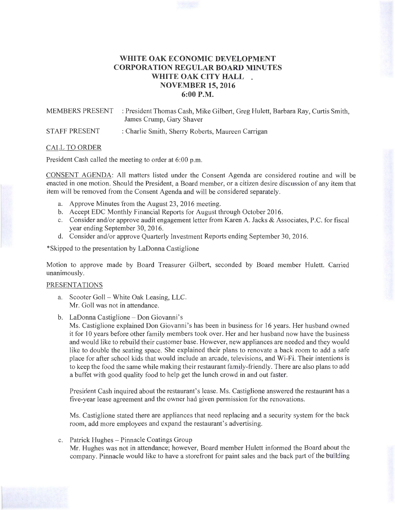# **WHITE OAK ECONOMIC DEVELOPMENT CORPORATION REGULAR BOARD MINUTES WHITE OAK CITY HALL NOVEMBER 15, 2016 6:00P.M.**

MEMBERS PRESENT : President Thomas Cash, Mike Gilbert, Greg Hulett, Barbara Ray, Curtis Smith, James Crump, Gary Shaver

STAFF PRESENT : Charlie Smith, Sherry Roberts, Maureen Carrigan

### CALL TO ORDER

President Cash called the meeting to order at 6:00 p.m.

CONSENT AGENDA: All matters listed under the Consent Agenda are considered routine and will be enacted in one motion. Should the President, a Board member, or a citizen desire discussion of any item that item will be removed from the Consent Agenda and will be considered separately.

- a. Approve Minutes from the August 23, 2016 meeting.
- b. Accept EDC Monthly Financial Reports for August through October 2016.
- c. Consider and/or approve audit engagement letter from Karen A. Jacks & Associates, P.C. for fiscal year ending September 30, 2016.
- d. Consider and/or approve Quarterly Investment Reports ending September 30, 2016.

\*Skipped to the presentation by LaDonna Castiglione

Motion to approve made by Board Treasurer Gilbert, seconded by Board member Hulett. Carried unanimously.

### PRESENTATIONS

- a. Scooter Goll White Oak Leasing, LLC. Mr. Goll was not in attendance.
- b. LaDonna Castiglione Don Giovanni's

Ms. Castiglione explained Don Giovanni's has been in business for 16 years. Her husband owned it for 10 years before other family members took over. Her and her husband now have the business and would like to rebuild their customer base. However, new appliances are needed and they would like to double the seating space. She explained their plans to renovate a back room to add a safe place for after school kids that would include an arcade, televisions, and Wi-Fi. Their intentions is to keep the food the same while making their restaurant family-friendly. There are also plans to add a buffet with good quality food to help get the lunch crowd in and out faster.

President Cash inquired about the restaurant's lease. Ms. Castiglione answered the restaurant has a five-year lease agreement and the owner had given permission for the renovations.

Ms. Castiglione stated there are appliances that need replacing and a security system for the back room, add more employees and expand the restaurant's advertising.

#### c. Patrick Hughes - Pinnacle Coatings Group

Mr. Hughes was not in attendance; however, Board member Hulett informed the Board about the company. Pinnacle would like to have a storefront for paint sales and the back part of the building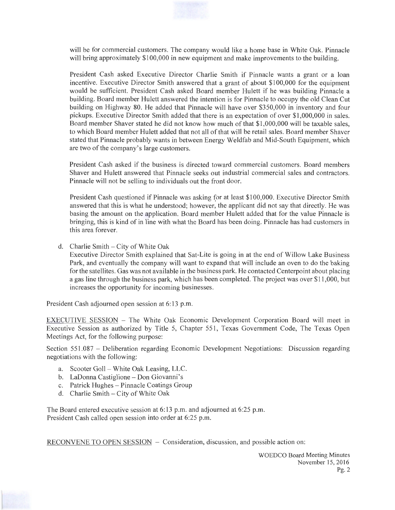

will be for commercial customers. The company would like a home base in White Oak. Pinnacle will bring approximately \$100,000 in new equipment and make improvements to the building.

President Cash asked Executive Director Charlie Smith if Pinnacle wants a grant or a loan incentive. Executive Director Smith answered that a grant of about \$100,000 for the equipment would be sufficient. President Cash asked Board member Hulett if he was building Pinnacle a building. Board member Hulett answered the intention is for Pinnacle to occupy the old Clean Cut building on Highway 80. He added that Pinnacle will have over \$350,000 in inventory and four pickups. Executive Director Smith added that there is an expectation of over \$1 ,000,000 in sales. Board member Shaver stated he did not know how much of that \$1 ,000,000 will be taxable sales, to which Board member Hulett added that not all of that will be retail sales. Board member Shaver stated that Pinnacle probably wants in between Energy Weldfab and Mid-South Equipment, which are two of the company's large customers.

President Cash asked if the business is directed toward commercial customers. Board members Shaver and Hulett answered that Pinnacle seeks out industrial commercial sales and contractors. Pinnacle will not be selling to individuals out the front door.

President Cash questioned if Pinnacle was asking for at least \$100,000. Executive Director Smith answered that this is what he understood; however, the applicant did not say that directly. He was basing the amount on the application. Board member Hulett added that for the value Pinnacle is bringing, this is kind of in line with what the Board has been doing. Pinnacle has had customers in this area forever.

d. Charlie Smith - City of White Oak

Executive Director Smith explained that Sat-Lite is going in at the end of Willow Lake Business Park, and eventually the company will want to expand that will include an oven to do the baking for the satellites. Gas was not available in the business park. He contacted Centerpoint about placing a gas line through the business park, which has been completed. The project was over \$11 ,000, but increases the opportunity for incoming businesses.

President Cash adjourned open session at 6:13 p.m.

EXECUTIVE SESSION - The White Oak Economic Development Corporation Board will meet in Executive Session as authorized by Title 5, Chapter 551 , Texas Government Code, The Texas Open Meetings Act, for the following purpose:

Section 551.087 - Deliberation regarding Economic Development Negotiations: Discussion regarding negotiations with the following:

- a. Scooter Goll White Oak Leasing, LLC.
- b. LaDonna Castiglione Don Giovanni's
- c. Patrick Hughes Pinnacle Coatings Group
- d. Charlie Smith City of White Oak

The Board entered executive session at 6:13 p.m. and adjourned at 6:25 p.m. President Cash called open session into order at 6:25 p.m.

RECONVENE TO OPEN SESSION - Consideration, discussion, and possible action on: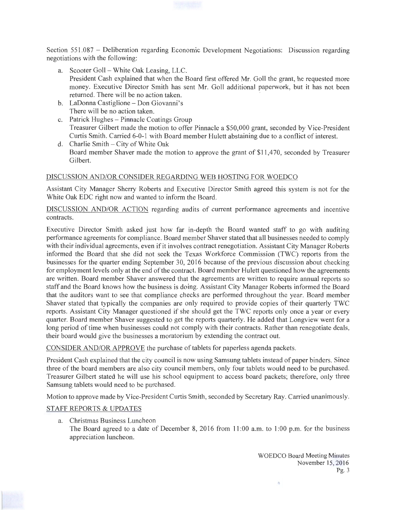Section 551.087 - Deliberation regarding Economic Development Negotiations: Discussion regarding negotiations with the following:

- a. Scooter Goll- White Oak Leasing, LLC. President Cash explained that when the Board first offered Mr. Goll the grant, he requested more money. Executive Director Smith has sent Mr. Goll additional paperwork, but it has not been returned. There will be no action taken. '
- b. LaDonna Castiglione- Don Giovanni's There will be no action taken.
- c. Patrick Hughes- Pinnacle Coatings Group Treasurer Gilbert made the motion to offer Pinnacle a \$50,000 grant, seconded by Vice-President Curtis Smith. Carried 6-0-1 with Board member Hulett abstaining due to a conflict of interest.
- d. Charlie Smith City of White Oak Board member Shaver made the motion to approve the grant of \$11,470, seconded by Treasurer Gilbert.

## DISCUSSION AND/OR CONSIDER REGARDING WEB HOSTING FOR WOEDCO

Assistant City Manager Sherry Roberts and Executive Director Smith agreed this system is not for the White Oak EDC right now and wanted to inform the Board.

DISCUSSION AND/OR ACTION regarding audits of current performance agreements and incentive contracts.

Executive Director Smith asked just how far in-depth the Board wanted staff to go with auditing performance agreements for compliance. Board member Shaver stated that all businesses needed to comply with their individual agreements, even if it involves contract renegotiation. Assistant City Manager Roberts informed the Board that she did not seek the Texas Workforce Commission (TWC) reports from the businesses for the quarter ending September 30, 2016 because of the previous discussion about checking for employment levels only at the end of the contract. Board member Hulett questioned how the agreements are written. Board member Shaver answered that the agreements are written to require annual reports so staff and the Board knows how the business is doing. Assistant City Manager Roberts informed the Board that the auditors want to see that compliance checks are performed throughout the year. Board member Shaver stated that typically the companies are only required to provide copies of their quarterly TWC reports. Assistant City Manager questioned if she should get the TWC reports only once a year or every quarter. Board member Shaver suggested to get the reports quarterly. He added that Longview went for a long period of time when businesses could not comply with their contracts. Rather than renegotiate deals, their board would give the businesses a moratorium by extending the contract out.

CONSIDER AND/OR APPROVE the purchase of tablets for paperless agenda packets.

President Cash explained that the city council is now using Samsung tablets instead of paper binders. Since three of the board members are also city council members, only four tablets would need to be purchased. Treasurer Gilbert stated he will use his school equipment to access board packets; therefore, only three Samsung tablets would need to be purchased.

Motion to approve made by Vice-President Curtis Smith, seconded by Secretary Ray. Carried unanimously.

### STAFF REPORTS & UPDATES

a. Christmas Business Luncheon

The Board agreed to a date of December 8, 2016 from 11:00 a.m. to 1:00 p.m. for the business appreciation luncheon.